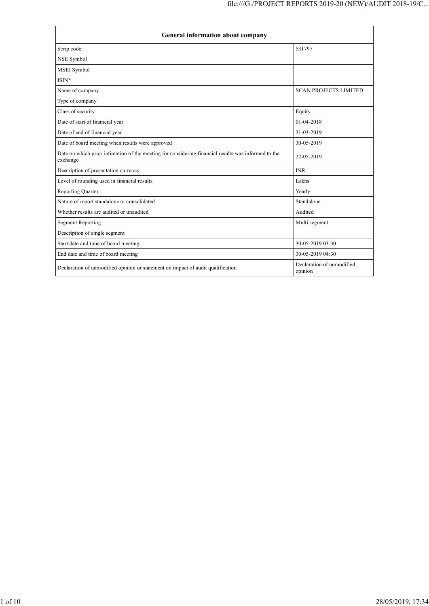| <b>General information about company</b>                                                                        |                                      |  |  |
|-----------------------------------------------------------------------------------------------------------------|--------------------------------------|--|--|
| Scrip code                                                                                                      | 531797                               |  |  |
| NSE Symbol                                                                                                      |                                      |  |  |
| MSEI Symbol                                                                                                     |                                      |  |  |
| $ISIN*$                                                                                                         |                                      |  |  |
| Name of company                                                                                                 | <b>SCAN PROJECTS LIMITED</b>         |  |  |
| Type of company                                                                                                 |                                      |  |  |
| Class of security                                                                                               | Equity                               |  |  |
| Date of start of financial year                                                                                 | $01 - 04 - 2018$                     |  |  |
| Date of end of financial year                                                                                   | 31-03-2019                           |  |  |
| Date of board meeting when results were approved                                                                | 30-05-2019                           |  |  |
| Date on which prior intimation of the meeting for considering financial results was informed to the<br>exchange | 22-05-2019                           |  |  |
| Description of presentation currency                                                                            | <b>INR</b>                           |  |  |
| Level of rounding used in financial results                                                                     | Lakhs                                |  |  |
| <b>Reporting Quarter</b>                                                                                        | Yearly                               |  |  |
| Nature of report standalone or consolidated                                                                     | Standalone                           |  |  |
| Whether results are audited or unaudited                                                                        | Audited                              |  |  |
| <b>Segment Reporting</b>                                                                                        | Multi segment                        |  |  |
| Description of single segment                                                                                   |                                      |  |  |
| Start date and time of board meeting                                                                            | 30-05-2019 03:30                     |  |  |
| End date and time of board meeting                                                                              | 30-05-2019 04:30                     |  |  |
| Declaration of unmodified opinion or statement on impact of audit qualification                                 | Declaration of unmodified<br>opinion |  |  |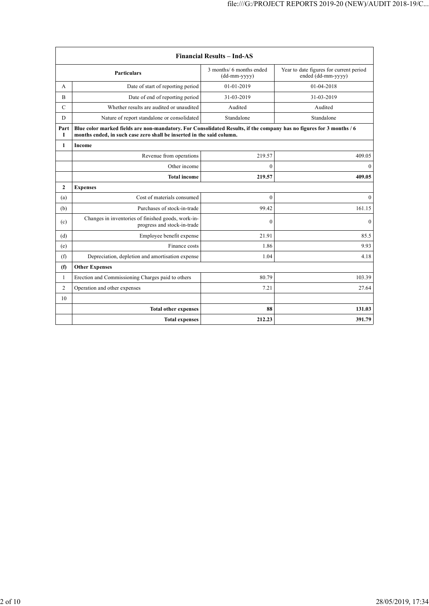| <b>Financial Results - Ind-AS</b> |                                                                                                                                                                                               |                                          |                                                               |
|-----------------------------------|-----------------------------------------------------------------------------------------------------------------------------------------------------------------------------------------------|------------------------------------------|---------------------------------------------------------------|
|                                   | <b>Particulars</b>                                                                                                                                                                            | 3 months/ 6 months ended<br>(dd-mm-yyyy) | Year to date figures for current period<br>ended (dd-mm-yyyy) |
| A                                 | Date of start of reporting period                                                                                                                                                             | $01-01-2019$                             | $01-04-2018$                                                  |
| B                                 | Date of end of reporting period                                                                                                                                                               | 31-03-2019                               | 31-03-2019                                                    |
| $\mathcal{C}$                     | Whether results are audited or unaudited                                                                                                                                                      | Audited                                  | Audited                                                       |
| D                                 | Nature of report standalone or consolidated                                                                                                                                                   | Standalone                               | Standalone                                                    |
| Part<br>Т                         | Blue color marked fields are non-mandatory. For Consolidated Results, if the company has no figures for 3 months / 6<br>months ended, in such case zero shall be inserted in the said column. |                                          |                                                               |
| 1                                 | Income                                                                                                                                                                                        |                                          |                                                               |
|                                   | Revenue from operations                                                                                                                                                                       | 219.57                                   | 409.05                                                        |
|                                   | Other income                                                                                                                                                                                  | $\theta$                                 | $\Omega$                                                      |
|                                   | <b>Total income</b>                                                                                                                                                                           | 219.57                                   | 409.05                                                        |
| $\mathbf{2}$                      | <b>Expenses</b>                                                                                                                                                                               |                                          |                                                               |
| (a)                               | Cost of materials consumed                                                                                                                                                                    | $\mathbf{0}$                             | $\overline{0}$                                                |
| (b)                               | Purchases of stock-in-trade                                                                                                                                                                   | 99.42                                    | 161.15                                                        |
| (c)                               | Changes in inventories of finished goods, work-in-<br>progress and stock-in-trade                                                                                                             | $\theta$                                 | $\Omega$                                                      |
| (d)                               | Employee benefit expense                                                                                                                                                                      | 21.91                                    | 85.5                                                          |
| (e)                               | Finance costs                                                                                                                                                                                 | 1.86                                     | 9.93                                                          |
| (f)                               | Depreciation, depletion and amortisation expense                                                                                                                                              | 1.04                                     | 4.18                                                          |
| (f)                               | <b>Other Expenses</b>                                                                                                                                                                         |                                          |                                                               |
| 1                                 | Erection and Commissioning Charges paid to others                                                                                                                                             | 80.79                                    | 103.39                                                        |
| $\overline{2}$                    | Operation and other expenses                                                                                                                                                                  | 7.21                                     | 27.64                                                         |
| 10                                |                                                                                                                                                                                               |                                          |                                                               |
|                                   | <b>Total other expenses</b>                                                                                                                                                                   | 88                                       | 131.03                                                        |
|                                   | <b>Total expenses</b>                                                                                                                                                                         | 212.23                                   | 391.79                                                        |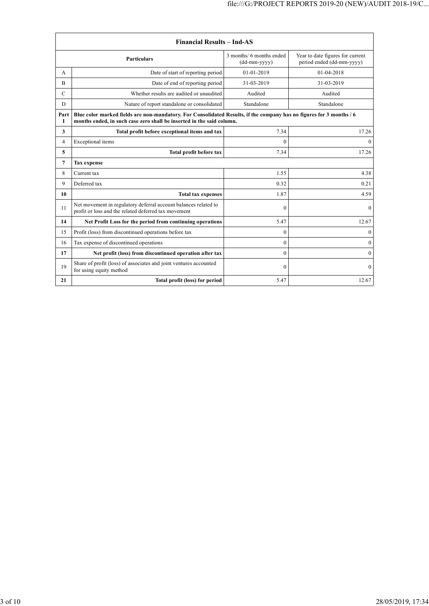| <b>Financial Results - Ind-AS</b> |                                                                                                                                                                                               |                                            |                                                               |
|-----------------------------------|-----------------------------------------------------------------------------------------------------------------------------------------------------------------------------------------------|--------------------------------------------|---------------------------------------------------------------|
|                                   | <b>Particulars</b>                                                                                                                                                                            | 3 months/ 6 months ended<br>$(dd-mm-yyyy)$ | Year to date figures for current<br>period ended (dd-mm-yyyy) |
| A                                 | Date of start of reporting period                                                                                                                                                             | 01-01-2019                                 | 01-04-2018                                                    |
| B                                 | Date of end of reporting period                                                                                                                                                               | 31-03-2019                                 | 31-03-2019                                                    |
| $\mathcal{C}$                     | Whether results are audited or unaudited                                                                                                                                                      | Audited                                    | Audited                                                       |
| D                                 | Nature of report standalone or consolidated                                                                                                                                                   | Standalone                                 | Standalone                                                    |
| Part<br>I                         | Blue color marked fields are non-mandatory. For Consolidated Results, if the company has no figures for 3 months / 6<br>months ended, in such case zero shall be inserted in the said column. |                                            |                                                               |
| 3                                 | Total profit before exceptional items and tax                                                                                                                                                 | 7.34                                       | 17.26                                                         |
| $\overline{4}$                    | Exceptional items                                                                                                                                                                             | $\theta$                                   | $\theta$                                                      |
| 5                                 | Total profit before tax                                                                                                                                                                       | 7.34                                       | 17.26                                                         |
| 7                                 | <b>Tax expense</b>                                                                                                                                                                            |                                            |                                                               |
| 8                                 | Current tax                                                                                                                                                                                   | 1.55                                       | 4.38                                                          |
| 9                                 | Deferred tax                                                                                                                                                                                  | 0.32                                       | 0.21                                                          |
| 10                                | <b>Total tax expenses</b>                                                                                                                                                                     | 1.87                                       | 4.59                                                          |
| 11                                | Net movement in regulatory deferral account balances related to<br>profit or loss and the related deferred tax movement                                                                       | $\boldsymbol{0}$                           | $\overline{0}$                                                |
| 14                                | Net Profit Loss for the period from continuing operations                                                                                                                                     | 5.47                                       | 12.67                                                         |
| 15                                | Profit (loss) from discontinued operations before tax                                                                                                                                         | $\theta$                                   | $\overline{0}$                                                |
| 16                                | Tax expense of discontinued operations                                                                                                                                                        | $\theta$                                   | $\mathbf{0}$                                                  |
| 17                                | Net profit (loss) from discontinued operation after tax                                                                                                                                       | $\theta$                                   | $\mathbf{0}$                                                  |
| 19                                | Share of profit (loss) of associates and joint ventures accounted<br>for using equity method                                                                                                  | $\theta$                                   | $\overline{0}$                                                |
| 21                                | Total profit (loss) for period                                                                                                                                                                | 5.47                                       | 12.67                                                         |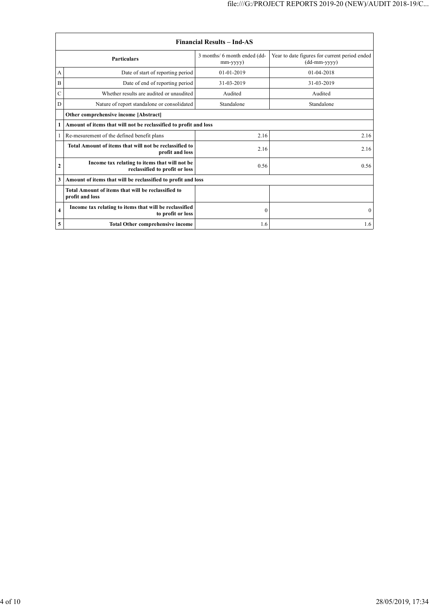| <b>Financial Results - Ind-AS</b> |                                                                                 |                                                |                                                               |
|-----------------------------------|---------------------------------------------------------------------------------|------------------------------------------------|---------------------------------------------------------------|
| <b>Particulars</b>                |                                                                                 | 3 months/ 6 month ended (dd-<br>$mm$ -yyyy $)$ | Year to date figures for current period ended<br>(dd-mm-yyyy) |
| А                                 | Date of start of reporting period                                               | $01-01-2019$                                   | 01-04-2018                                                    |
| B                                 | Date of end of reporting period                                                 | 31-03-2019                                     | 31-03-2019                                                    |
| C                                 | Whether results are audited or unaudited                                        | Audited                                        | Audited                                                       |
| D                                 | Nature of report standalone or consolidated                                     | Standalone                                     | Standalone                                                    |
|                                   | Other comprehensive income [Abstract]                                           |                                                |                                                               |
| 1                                 | Amount of items that will not be reclassified to profit and loss                |                                                |                                                               |
|                                   | Re-mesurement of the defined benefit plans                                      | 2.16                                           | 2.16                                                          |
|                                   | Total Amount of items that will not be reclassified to<br>profit and loss       | 2.16                                           | 2.16                                                          |
| 2                                 | Income tax relating to items that will not be<br>reclassified to profit or loss | 0.56                                           | 0.56                                                          |
| 3                                 | Amount of items that will be reclassified to profit and loss                    |                                                |                                                               |
|                                   | Total Amount of items that will be reclassified to<br>profit and loss           |                                                |                                                               |
| 4                                 | Income tax relating to items that will be reclassified<br>to profit or loss     | $\theta$                                       | $\Omega$                                                      |
| 5                                 | Total Other comprehensive income                                                | 1.6                                            | 1.6                                                           |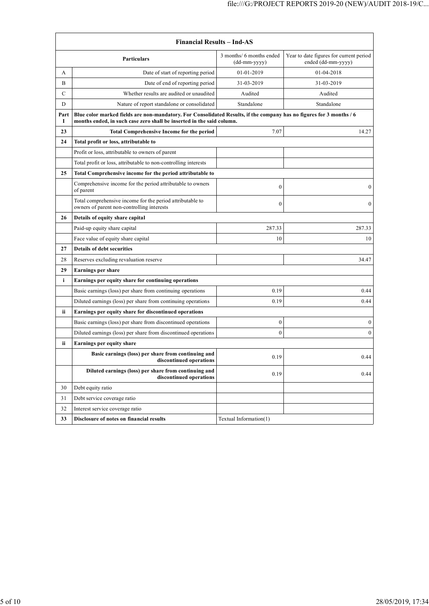| <b>Financial Results - Ind-AS</b> |                                                                                                                                                                                               |                                            |                                                               |
|-----------------------------------|-----------------------------------------------------------------------------------------------------------------------------------------------------------------------------------------------|--------------------------------------------|---------------------------------------------------------------|
|                                   | Particulars                                                                                                                                                                                   | 3 months/ 6 months ended<br>$(dd-mm-yyyy)$ | Year to date figures for current period<br>ended (dd-mm-yyyy) |
| A                                 | Date of start of reporting period                                                                                                                                                             | 01-01-2019                                 | 01-04-2018                                                    |
| B                                 | Date of end of reporting period                                                                                                                                                               | 31-03-2019                                 | 31-03-2019                                                    |
| С                                 | Whether results are audited or unaudited                                                                                                                                                      | Audited                                    | Audited                                                       |
| D                                 | Nature of report standalone or consolidated                                                                                                                                                   | Standalone                                 | Standalone                                                    |
| Part<br>I                         | Blue color marked fields are non-mandatory. For Consolidated Results, if the company has no figures for 3 months / 6<br>months ended, in such case zero shall be inserted in the said column. |                                            |                                                               |
| 23                                | <b>Total Comprehensive Income for the period</b>                                                                                                                                              | 7.07                                       | 14.27                                                         |
| 24                                | Total profit or loss, attributable to                                                                                                                                                         |                                            |                                                               |
|                                   | Profit or loss, attributable to owners of parent                                                                                                                                              |                                            |                                                               |
|                                   | Total profit or loss, attributable to non-controlling interests                                                                                                                               |                                            |                                                               |
| 25                                | Total Comprehensive income for the period attributable to                                                                                                                                     |                                            |                                                               |
|                                   | Comprehensive income for the period attributable to owners<br>of parent                                                                                                                       | $\mathbf{0}$                               | $\overline{0}$                                                |
|                                   | Total comprehensive income for the period attributable to<br>owners of parent non-controlling interests                                                                                       | $\mathbf{0}$                               | $\boldsymbol{0}$                                              |
| 26                                | Details of equity share capital                                                                                                                                                               |                                            |                                                               |
|                                   | Paid-up equity share capital                                                                                                                                                                  | 287.33                                     | 287.33                                                        |
|                                   | Face value of equity share capital                                                                                                                                                            | 10                                         | 10                                                            |
| 27                                | <b>Details of debt securities</b>                                                                                                                                                             |                                            |                                                               |
| 28                                | Reserves excluding revaluation reserve                                                                                                                                                        |                                            | 34.47                                                         |
| 29                                | <b>Earnings per share</b>                                                                                                                                                                     |                                            |                                                               |
| i                                 | Earnings per equity share for continuing operations                                                                                                                                           |                                            |                                                               |
|                                   | Basic earnings (loss) per share from continuing operations                                                                                                                                    | 0.19                                       | 0.44                                                          |
|                                   | Diluted earnings (loss) per share from continuing operations                                                                                                                                  | 0.19                                       | 0.44                                                          |
| ii                                | Earnings per equity share for discontinued operations                                                                                                                                         |                                            |                                                               |
|                                   | Basic earnings (loss) per share from discontinued operations                                                                                                                                  | $\boldsymbol{0}$                           | 0                                                             |
|                                   | Diluted earnings (loss) per share from discontinued operations                                                                                                                                | $\mathbf{0}$                               | $\boldsymbol{0}$                                              |
| ii                                | <b>Earnings per equity share</b>                                                                                                                                                              |                                            |                                                               |
|                                   | Basic earnings (loss) per share from continuing and<br>discontinued operations                                                                                                                | 0.19                                       | 0.44                                                          |
|                                   | Diluted earnings (loss) per share from continuing and<br>discontinued operations                                                                                                              | 0.19                                       | 0.44                                                          |
| 30                                | Debt equity ratio                                                                                                                                                                             |                                            |                                                               |
| 31                                | Debt service coverage ratio                                                                                                                                                                   |                                            |                                                               |
| 32                                | Interest service coverage ratio                                                                                                                                                               |                                            |                                                               |
| 33                                | Disclosure of notes on financial results                                                                                                                                                      | Textual Information(1)                     |                                                               |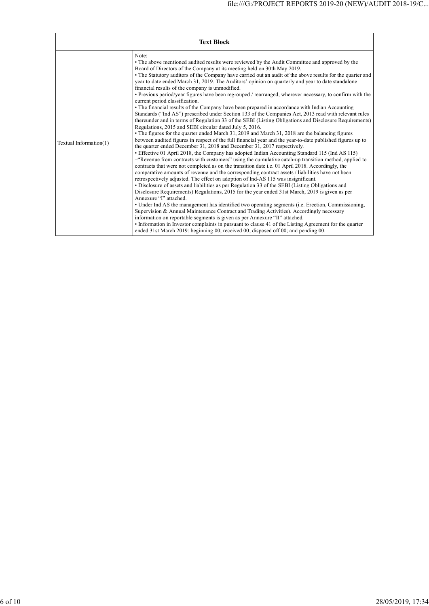|                        | <b>Text Block</b>                                                                                                                                                                                                                                                                                                                                                                                                                                                                                                                                                                                                                                                                                                                                                                                                                                                                                                                                                                                                                                                                                                                                                                                                                                                                                                                                                                                                                                                                                                                                                                                                                                                                                                                                                                                                                                                                                                                                                                                                                                                                                                                                                                                                                                                                                                                                                                                                                                                                                         |
|------------------------|-----------------------------------------------------------------------------------------------------------------------------------------------------------------------------------------------------------------------------------------------------------------------------------------------------------------------------------------------------------------------------------------------------------------------------------------------------------------------------------------------------------------------------------------------------------------------------------------------------------------------------------------------------------------------------------------------------------------------------------------------------------------------------------------------------------------------------------------------------------------------------------------------------------------------------------------------------------------------------------------------------------------------------------------------------------------------------------------------------------------------------------------------------------------------------------------------------------------------------------------------------------------------------------------------------------------------------------------------------------------------------------------------------------------------------------------------------------------------------------------------------------------------------------------------------------------------------------------------------------------------------------------------------------------------------------------------------------------------------------------------------------------------------------------------------------------------------------------------------------------------------------------------------------------------------------------------------------------------------------------------------------------------------------------------------------------------------------------------------------------------------------------------------------------------------------------------------------------------------------------------------------------------------------------------------------------------------------------------------------------------------------------------------------------------------------------------------------------------------------------------------------|
| Textual Information(1) | Note:<br>• The above mentioned audited results were reviewed by the Audit Committee and approved by the<br>Board of Directors of the Company at its meeting held on 30th May 2019.<br>• The Statutory auditors of the Company have carried out an audit of the above results for the quarter and<br>year to date ended March 31, 2019. The Auditors' opinion on quarterly and year to date standalone<br>financial results of the company is unmodified.<br>• Previous period/year figures have been regrouped / rearranged, wherever necessary, to confirm with the<br>current period classification.<br>• The financial results of the Company have been prepared in accordance with Indian Accounting<br>Standards ("Ind AS") prescribed under Section 133 of the Companies Act, 2013 read with relevant rules<br>thereunder and in terms of Regulation 33 of the SEBI (Listing Obligations and Disclosure Requirements)<br>Regulations, 2015 and SEBI circular dated July 5, 2016.<br>• The figures for the quarter ended March 31, 2019 and March 31, 2018 are the balancing figures<br>between audited figures in respect of the full financial year and the year-to-date published figures up to<br>the quarter ended December 31, 2018 and December 31, 2017 respectively.<br>• Effective 01 April 2018, the Company has adopted Indian Accounting Standard 115 (Ind AS 115)<br>-"Revenue from contracts with customers" using the cumulative catch-up transition method, applied to<br>contracts that were not completed as on the transition date i.e. 01 April 2018. Accordingly, the<br>comparative amounts of revenue and the corresponding contract assets / liabilities have not been<br>retrospectively adjusted. The effect on adoption of Ind-AS 115 was insignificant.<br>• Disclosure of assets and liabilities as per Regulation 33 of the SEBI (Listing Obligations and<br>Disclosure Requirements) Regulations, 2015 for the year ended 31st March, 2019 is given as per<br>Annexure "I" attached.<br>• Under Ind AS the management has identified two operating segments (i.e. Erection, Commissioning,<br>Supervision & Annual Maintenance Contract and Trading Activities). Accordingly necessary<br>information on reportable segments is given as per Annexure "II" attached.<br>• Information in Investor complaints in pursuant to clause 41 of the Listing Agreement for the quarter<br>ended 31st March 2019: beginning 00; received 00; disposed off 00; and pending 00. |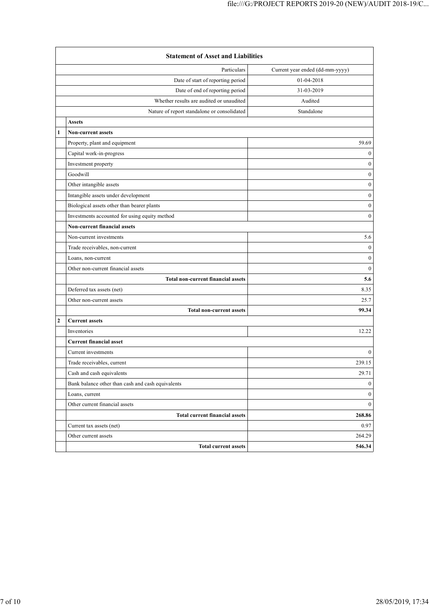|   | <b>Statement of Asset and Liabilities</b>         |                                 |  |  |
|---|---------------------------------------------------|---------------------------------|--|--|
|   | Particulars                                       | Current year ended (dd-mm-yyyy) |  |  |
|   | Date of start of reporting period                 | 01-04-2018                      |  |  |
|   | Date of end of reporting period                   | 31-03-2019                      |  |  |
|   | Whether results are audited or unaudited          | Audited                         |  |  |
|   | Nature of report standalone or consolidated       | Standalone                      |  |  |
|   | <b>Assets</b>                                     |                                 |  |  |
| 1 | <b>Non-current assets</b>                         |                                 |  |  |
|   | Property, plant and equipment                     | 59.69                           |  |  |
|   | Capital work-in-progress                          | $\bf{0}$                        |  |  |
|   | Investment property                               | $\boldsymbol{0}$                |  |  |
|   | Goodwill                                          | $\boldsymbol{0}$                |  |  |
|   | Other intangible assets                           | $\boldsymbol{0}$                |  |  |
|   | Intangible assets under development               | $\boldsymbol{0}$                |  |  |
|   | Biological assets other than bearer plants        | $\boldsymbol{0}$                |  |  |
|   | Investments accounted for using equity method     | $\mathbf{0}$                    |  |  |
|   | <b>Non-current financial assets</b>               |                                 |  |  |
|   | Non-current investments                           | 5.6                             |  |  |
|   | Trade receivables, non-current                    | $\boldsymbol{0}$                |  |  |
|   | Loans, non-current                                | $\boldsymbol{0}$                |  |  |
|   | Other non-current financial assets                | $\mathbf{0}$                    |  |  |
|   | <b>Total non-current financial assets</b>         | 5.6                             |  |  |
|   | Deferred tax assets (net)                         | 8.35                            |  |  |
|   | Other non-current assets                          | 25.7                            |  |  |
|   | <b>Total non-current assets</b>                   | 99.34                           |  |  |
| 2 | <b>Current assets</b>                             |                                 |  |  |
|   | Inventories                                       | 12.22                           |  |  |
|   | <b>Current financial asset</b>                    |                                 |  |  |
|   | Current investments                               | $\overline{0}$                  |  |  |
|   | Trade receivables, current                        | 239.15                          |  |  |
|   | Cash and cash equivalents                         | 29.71                           |  |  |
|   | Bank balance other than cash and cash equivalents | $\boldsymbol{0}$                |  |  |
|   | Loans, current                                    | $\mathbf{0}$                    |  |  |
|   | Other current financial assets                    | $\mathbf{0}$                    |  |  |
|   | Total current financial assets                    | 268.86                          |  |  |
|   | Current tax assets (net)                          | 0.97                            |  |  |
|   | Other current assets                              | 264.29                          |  |  |
|   | <b>Total current assets</b>                       | 546.34                          |  |  |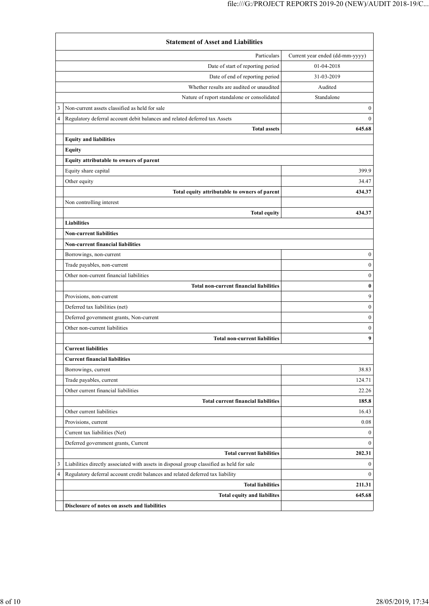|   | <b>Statement of Asset and Liabilities</b>                                                 |                                 |  |  |
|---|-------------------------------------------------------------------------------------------|---------------------------------|--|--|
|   | Particulars                                                                               | Current year ended (dd-mm-yyyy) |  |  |
|   | Date of start of reporting period                                                         | 01-04-2018                      |  |  |
|   | Date of end of reporting period                                                           | 31-03-2019                      |  |  |
|   | Whether results are audited or unaudited                                                  | Audited                         |  |  |
|   | Nature of report standalone or consolidated                                               | Standalone                      |  |  |
|   | Non-current assets classified as held for sale                                            | $\overline{0}$                  |  |  |
| 4 | Regulatory deferral account debit balances and related deferred tax Assets                | $\overline{0}$                  |  |  |
|   | <b>Total assets</b>                                                                       | 645.68                          |  |  |
|   | <b>Equity and liabilities</b>                                                             |                                 |  |  |
|   | <b>Equity</b>                                                                             |                                 |  |  |
|   | Equity attributable to owners of parent                                                   |                                 |  |  |
|   | Equity share capital                                                                      | 399.9                           |  |  |
|   | Other equity                                                                              | 34.47                           |  |  |
|   | Total equity attributable to owners of parent                                             | 434.37                          |  |  |
|   | Non controlling interest                                                                  |                                 |  |  |
|   | <b>Total equity</b>                                                                       | 434.37                          |  |  |
|   | <b>Liabilities</b>                                                                        |                                 |  |  |
|   | <b>Non-current liabilities</b>                                                            |                                 |  |  |
|   | <b>Non-current financial liabilities</b>                                                  |                                 |  |  |
|   | Borrowings, non-current                                                                   | $\boldsymbol{0}$                |  |  |
|   | Trade payables, non-current                                                               | $\boldsymbol{0}$                |  |  |
|   | Other non-current financial liabilities                                                   | $\boldsymbol{0}$                |  |  |
|   | <b>Total non-current financial liabilities</b>                                            | $\bf{0}$                        |  |  |
|   | Provisions, non-current                                                                   | 9                               |  |  |
|   | Deferred tax liabilities (net)                                                            | $\boldsymbol{0}$                |  |  |
|   | Deferred government grants, Non-current                                                   | $\boldsymbol{0}$                |  |  |
|   | Other non-current liabilities                                                             | $\boldsymbol{0}$                |  |  |
|   | <b>Total non-current liabilities</b>                                                      | 9                               |  |  |
|   | <b>Current liabilities</b>                                                                |                                 |  |  |
|   | <b>Current financial liabilities</b>                                                      |                                 |  |  |
|   | Borrowings, current                                                                       | 38.83                           |  |  |
|   | Trade payables, current                                                                   | 124.71                          |  |  |
|   | Other current financial liabilities                                                       | 22.26                           |  |  |
|   | <b>Total current financial liabilities</b>                                                | 185.8                           |  |  |
|   | Other current liabilities                                                                 | 16.43                           |  |  |
|   | Provisions, current                                                                       | 0.08                            |  |  |
|   | Current tax liabilities (Net)                                                             | $\mathbf{0}$                    |  |  |
|   | Deferred government grants, Current                                                       | $\overline{0}$                  |  |  |
|   | <b>Total current liabilities</b>                                                          | 202.31                          |  |  |
| 3 | Liabilities directly associated with assets in disposal group classified as held for sale | $\bf{0}$                        |  |  |
| 4 | Regulatory deferral account credit balances and related deferred tax liability            | $\overline{0}$                  |  |  |
|   | <b>Total liabilities</b>                                                                  | 211.31                          |  |  |
|   | <b>Total equity and liabilites</b>                                                        | 645.68                          |  |  |
|   | Disclosure of notes on assets and liabilities                                             |                                 |  |  |